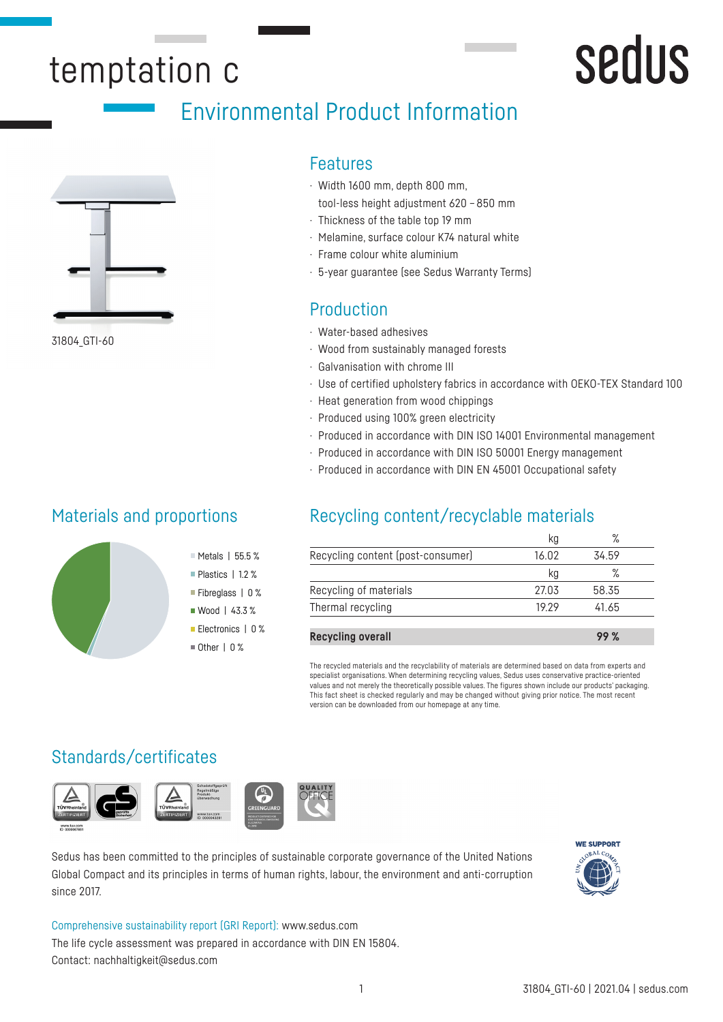## temptation c

## Environmental Product Information



31804\_GTI-60

#### Features

- · Width 1600 mm, depth 800 mm, tool-less height adjustment 620 – 850 mm
- · Thickness of the table top 19 mm
- · Melamine, surface colour K74 natural white
- · Frame colour white aluminium
- · 5-year guarantee (see Sedus Warranty Terms)

#### Production

- · Water-based adhesives
- · Wood from sustainably managed forests
- · Galvanisation with chrome III
- · Use of certified upholstery fabrics in accordance with OEKO-TEX Standard 100
- · Heat generation from wood chippings
- · Produced using 100% green electricity
- · Produced in accordance with DIN ISO 14001 Environmental management
- · Produced in accordance with DIN ISO 50001 Energy management
- · Produced in accordance with DIN EN 45001 Occupational safety

#### Materials and proportions

### Recycling content/recyclable materials

|                                   | kg    | $\%$  |  |
|-----------------------------------|-------|-------|--|
| Recycling content (post-consumer) | 16.02 | 34.59 |  |
|                                   | Кg    | ℅     |  |
| Recycling of materials            | 27.03 | 58.35 |  |
| Thermal recycling                 | 19 29 | 41.65 |  |
|                                   |       |       |  |
| <b>Recycling overall</b>          |       | 99 %  |  |

The recycled materials and the recyclability of materials are determined based on data from experts and specialist organisations. When determining recycling values, Sedus uses conservative practice-oriented values and not merely the theoretically possible values. The figures shown include our products' packaging. This fact sheet is checked regularly and may be changed without giving prior notice. The most recent version can be downloaded from our homepage at any time.

#### Standards/certificates



Sedus has been committed to the principles of sustainable corporate governance of the United Nations Global Compact and its principles in terms of human rights, labour, the environment and anti-corruption since 2017.



sedus

Comprehensive sustainability report (GRI Report): www.sedus.com The life cycle assessment was prepared in accordance with DIN EN 15804. Contact: nachhaltigkeit@sedus.com

Metals | 55.5 % Plastics | 1.2 % Fibreglass | 0 % ■ Wood | 43.3 % Electronics | 0 %  $\blacksquare$  Other | 0 %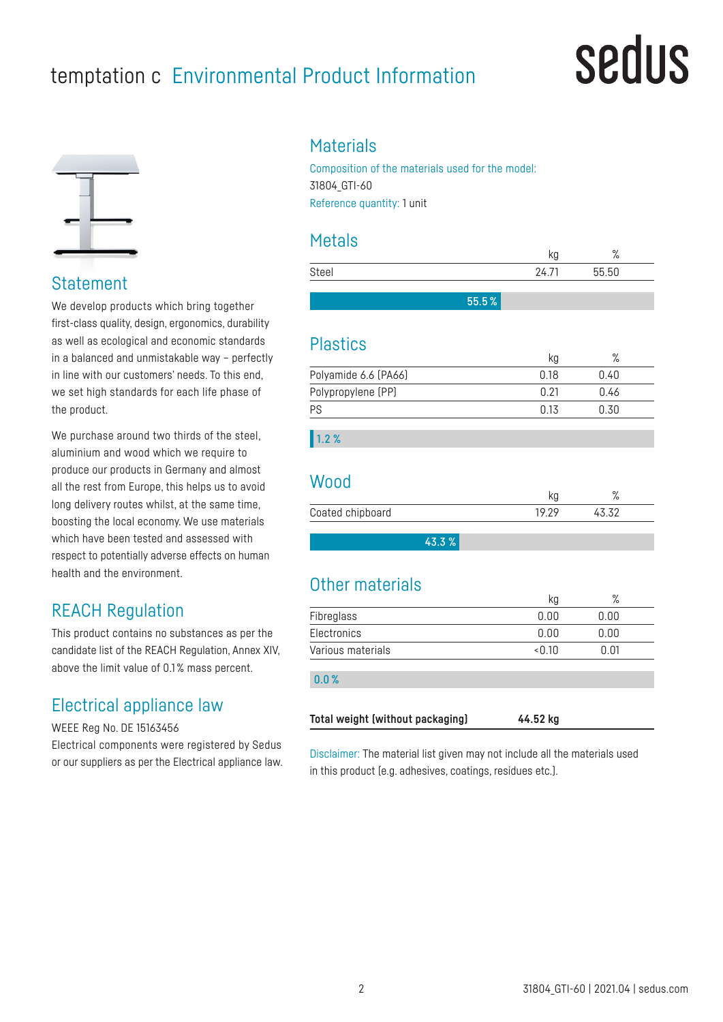### temptation c Environmental Product Information

## sedus



**Statement** 

We develop products which bring together first-class quality, design, ergonomics, durability as well as ecological and economic standards in a balanced and unmistakable way – perfectly in line with our customers' needs. To this end, we set high standards for each life phase of the product.

We purchase around two thirds of the steel, aluminium and wood which we require to produce our products in Germany and almost all the rest from Europe, this helps us to avoid long delivery routes whilst, at the same time, boosting the local economy. We use materials which have been tested and assessed with respect to potentially adverse effects on human health and the environment.

#### REACH Regulation

This product contains no substances as per the candidate list of the REACH Regulation, Annex XIV, above the limit value of 0.1 % mass percent.

#### Electrical appliance law

WEEE Reg No. DE 15163456

Electrical components were registered by Sedus or our suppliers as per the Electrical appliance law.

#### **Materials**

Composition of the materials used for the model: 31804\_GTI-60 Reference quantity: 1 unit

#### Metals

|       |       | ۱u  | $\mathbf{O}$<br>70 |  |
|-------|-------|-----|--------------------|--|
| Steel |       | 27. | 55.50              |  |
|       |       |     |                    |  |
|       | 55.5% |     |                    |  |

#### Plastics

|                      | kg   | $\sqrt{2}$ |  |
|----------------------|------|------------|--|
| Polyamide 6.6 (PA66) | በ 18 | 0.40       |  |
| Polypropylene (PP)   | በ 21 | 0.46       |  |
| PS                   | በ 13 | 0.30       |  |
|                      |      |            |  |

#### 1.2 %

#### Wood

|                  |       | 7C |
|------------------|-------|----|
| Coated chipboard | 10 7C |    |
|                  |       |    |

43.3 %

#### Other materials

|                   | - פי  | . .  |  |
|-------------------|-------|------|--|
| Fibreglass        | 0.00  | 0.00 |  |
| Electronics       | 0.00  | 0.00 |  |
| Various materials | <0.10 | 0.01 |  |
| 0.0%              |       |      |  |
|                   |       |      |  |

| Total weight (without packaging) | 44.52 kg |
|----------------------------------|----------|
|----------------------------------|----------|

Disclaimer: The material list given may not include all the materials used in this product (e.g. adhesives, coatings, residues etc.).

 $kn$  %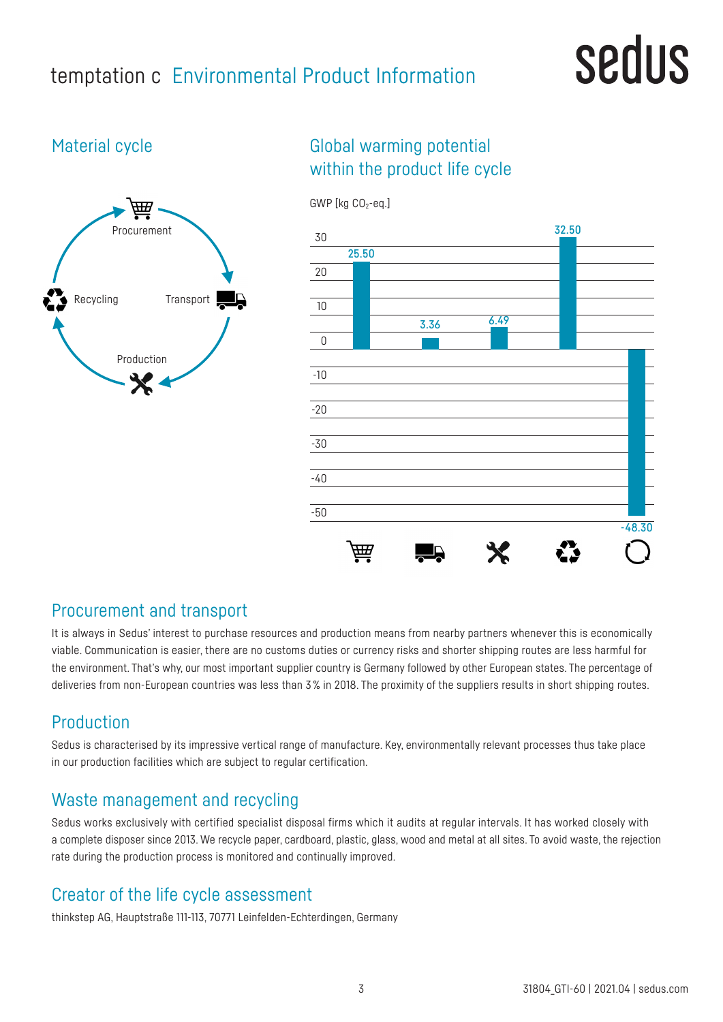### temptation c Environmental Product Information

## **Sedus**

#### Material cycle



#### Global warming potential within the product life cycle



#### Procurement and transport

It is always in Sedus' interest to purchase resources and production means from nearby partners whenever this is economically viable. Communication is easier, there are no customs duties or currency risks and shorter shipping routes are less harmful for the environment. That's why, our most important supplier country is Germany followed by other European states. The percentage of deliveries from non-European countries was less than 3% in 2018. The proximity of the suppliers results in short shipping routes.

#### Production

Sedus is characterised by its impressive vertical range of manufacture. Key, environmentally relevant processes thus take place in our production facilities which are subject to regular certification.

#### Waste management and recycling

Sedus works exclusively with certified specialist disposal firms which it audits at regular intervals. It has worked closely with a complete disposer since 2013. We recycle paper, cardboard, plastic, glass, wood and metal at all sites. To avoid waste, the rejection rate during the production process is monitored and continually improved.

#### Creator of the life cycle assessment

thinkstep AG, Hauptstraße 111-113, 70771 Leinfelden-Echterdingen, Germany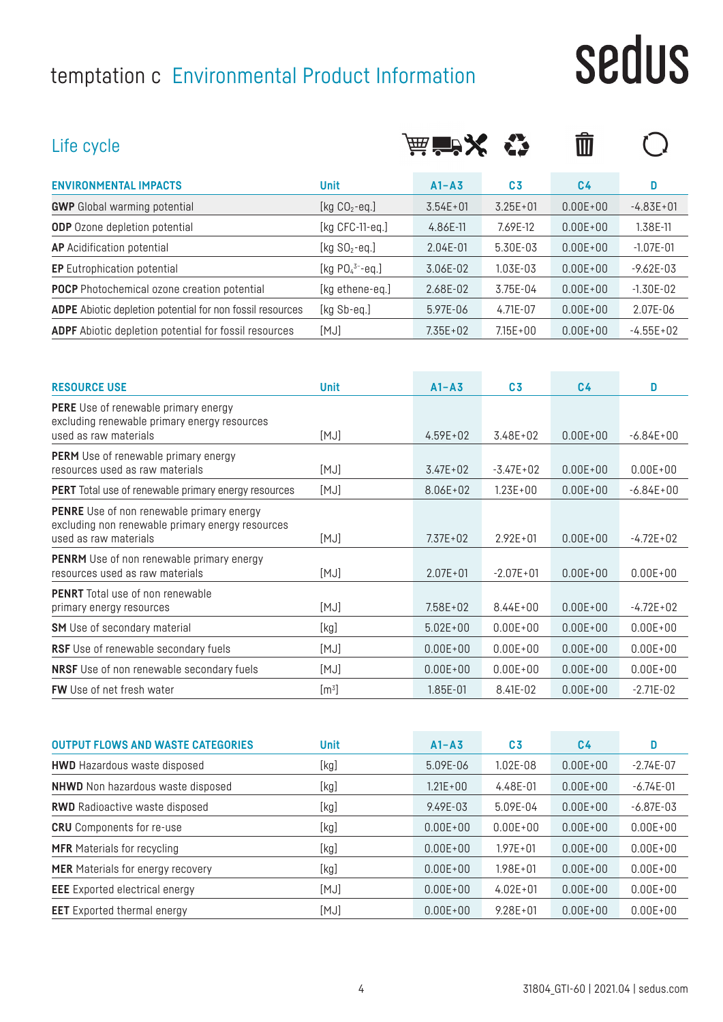## temptation c Environmental Product Information

# sedus

| Life cycle                                                                                                                    |                       | <b>扁盲入</b>   |                | $\overline{\mathbb{I}\mathbb{I}}$ |               |
|-------------------------------------------------------------------------------------------------------------------------------|-----------------------|--------------|----------------|-----------------------------------|---------------|
| <b>ENVIRONMENTAL IMPACTS</b>                                                                                                  | <b>Unit</b>           | $A1 - A3$    | C <sub>3</sub> | C <sub>4</sub>                    | D             |
| <b>GWP</b> Global warming potential                                                                                           | [kg $CO2$ -eq.]       | $3.54E + 01$ | $3.25E + 01$   | $0.00E + 00$                      | $-4.83E + 01$ |
| <b>ODP</b> Ozone depletion potential                                                                                          | [ $kg$ CFC-11-eq.]    | 4.86E-11     | 7.69E-12       | $0.00E + 00$                      | 1.38E-11      |
| <b>AP</b> Acidification potential                                                                                             | [kg $SO_2$ -eq.]      | 2.04E-01     | 5.30E-03       | $0.00E + 00$                      | $-1.07E - 01$ |
| <b>EP</b> Eutrophication potential                                                                                            | [kg $PO_4^{3-}$ -eq.] | 3.06E-02     | 1.03E-03       | $0.00E + 00$                      | $-9.62E - 03$ |
| <b>POCP</b> Photochemical ozone creation potential                                                                            | [kg ethene-eq.]       | 2.68E-02     | 3.75E-04       | $0.00E + 00$                      | $-1.30E-02$   |
| <b>ADPE</b> Abiotic depletion potential for non fossil resources                                                              | [kg Sb-eq.]           | 5.97E-06     | 4.71E-07       | $0.00E + 00$                      | 2.07E-06      |
| <b>ADPF</b> Abiotic depletion potential for fossil resources                                                                  | [MJ]                  | $7.35E + 02$ | $7.15E + 00$   | $0.00E + 00$                      | $-4.55E+02$   |
| <b>RESOURCE USE</b>                                                                                                           | <b>Unit</b>           | $A1 - A3$    | C <sub>3</sub> | C <sub>4</sub>                    | D             |
| <b>PERE</b> Use of renewable primary energy<br>excluding renewable primary energy resources<br>used as raw materials          | [MJ]                  | $4.59E + 02$ | 3.48E+02       | $0.00E + 00$                      | $-6.84E + 00$ |
| <b>PERM</b> Use of renewable primary energy<br>resources used as raw materials                                                | [MJ]                  | $3.47E + 02$ | $-3.47E + 02$  | $0.00E + 00$                      | $0.00E + 00$  |
| <b>PERT</b> Total use of renewable primary energy resources                                                                   | [MJ]                  | 8.06E+02     | $1.23E + 00$   | $0.00E + 00$                      | $-6.84E+00$   |
| <b>PENRE</b> Use of non renewable primary energy<br>excluding non renewable primary energy resources<br>used as raw materials | [MJ]                  | $7.37E + 02$ | $2.92E + 01$   | $0.00E + 00$                      | $-4.72E+02$   |
| <b>PENRM</b> Use of non renewable primary energy<br>resources used as raw materials                                           | [MJ]                  | $2.07E + 01$ | $-2.07E + 01$  | $0.00E + 00$                      | $0.00E + 00$  |
| <b>DEMBT</b> Telebros of new repairsble.                                                                                      |                       |              |                |                                   |               |

| <b>PENRT</b> Total use of non renewable          |                  |              |              |              |               |
|--------------------------------------------------|------------------|--------------|--------------|--------------|---------------|
| primary energy resources                         | [MJ]             | $7.58E + 02$ | $8.44E + 00$ | $0.00E + 00$ | $-4.72E+02$   |
| <b>SM</b> Use of secondary material              | [kg]             | $5.02E + 00$ | $0.00E + 00$ | $0.00E + 00$ | $0.00E + 00$  |
| <b>RSF</b> Use of renewable secondary fuels      | [MJ]             | $0.00E + 00$ | $0.00E + 00$ | $0.00E + 00$ | $0.00E + 00$  |
| <b>NRSF</b> Use of non renewable secondary fuels | [MJ]             | $0.00E + 00$ | $0.00E + 00$ | $0.00E + 00$ | $0.00E + 00$  |
| <b>FW</b> Use of net fresh water                 | $\mathsf{[m^3]}$ | 1.85E-01     | 8.41F-02     | $0.00E + 00$ | $-2.71F - 02$ |

| <b>OUTPUT FLOWS AND WASTE CATEGORIES</b> | <b>Unit</b> | $A1 - A3$    | C <sub>3</sub> | C <sub>4</sub> | D             |
|------------------------------------------|-------------|--------------|----------------|----------------|---------------|
| <b>HWD</b> Hazardous waste disposed      | [kg]        | 5.09E-06     | $1.02E - 08$   | $0.00E + 00$   | $-2.74E-07$   |
| <b>NHWD</b> Non hazardous waste disposed | [kg]        | $1.21E + 00$ | 4.48E-01       | $0.00E + 00$   | $-6.74E - 01$ |
| <b>RWD</b> Radioactive waste disposed    | [kg]        | 9.49E-03     | 5.09E-04       | $0.00E + 00$   | $-6.87E - 03$ |
| <b>CRU</b> Components for re-use         | [kg]        | $0.00E + 00$ | $0.00E + 00$   | $0.00E + 00$   | $0.00E + 00$  |
| <b>MFR</b> Materials for recycling       | [kg]        | $0.00F + 00$ | $1.97E + 01$   | $0.00F + 00$   | $0.00E + 00$  |
| <b>MER</b> Materials for energy recovery | [kg]        | $0.00E + 00$ | $1.98E + 01$   | $0.00E + 00$   | $0.00E + 00$  |
| <b>EEE</b> Exported electrical energy    | [MJ]        | $0.00E + 00$ | $4.02E + 01$   | $0.00E + 00$   | $0.00E + 00$  |
| <b>EET</b> Exported thermal energy       | [MJ]        | $0.00E + 00$ | $9.28E + 01$   | $0.00E + 00$   | $0.00E + 00$  |